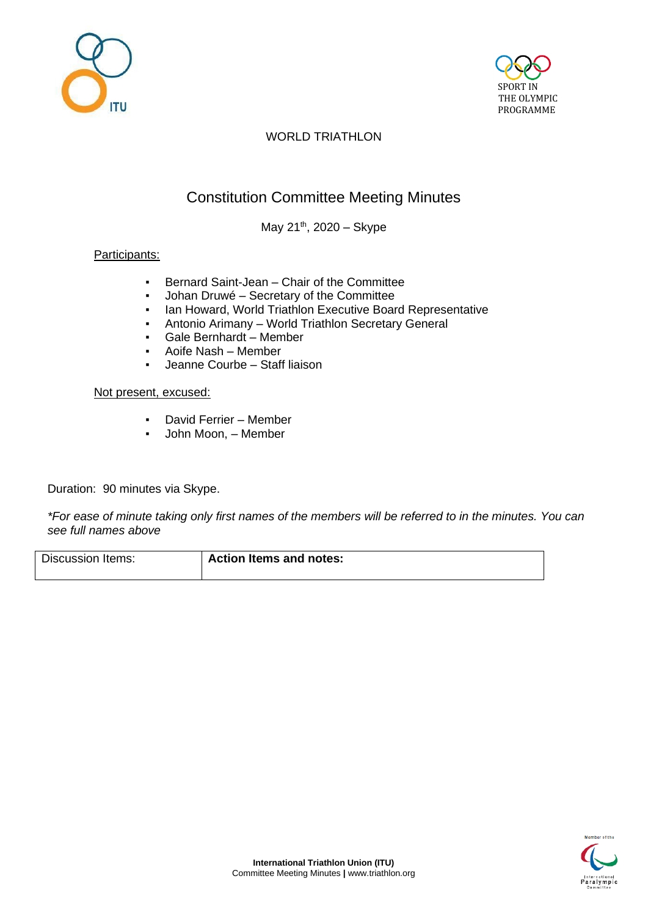



# Constitution Committee Meeting Minutes

May 21<sup>th</sup>, 2020 - Skype

## Participants:

- Bernard Saint-Jean Chair of the Committee
- Johan Druwé Secretary of the Committee
- Ian Howard, World Triathlon Executive Board Representative
- Antonio Arimany World Triathlon Secretary General
- Gale Bernhardt Member
- Aoife Nash Member
- Jeanne Courbe Staff liaison

#### Not present, excused:

- David Ferrier Member
- John Moon, Member

Duration: 90 minutes via Skype.

*\*For ease of minute taking only first names of the members will be referred to in the minutes. You can see full names above*

| Discussion Items: | <b>Action Items and notes:</b> |
|-------------------|--------------------------------|
|                   |                                |

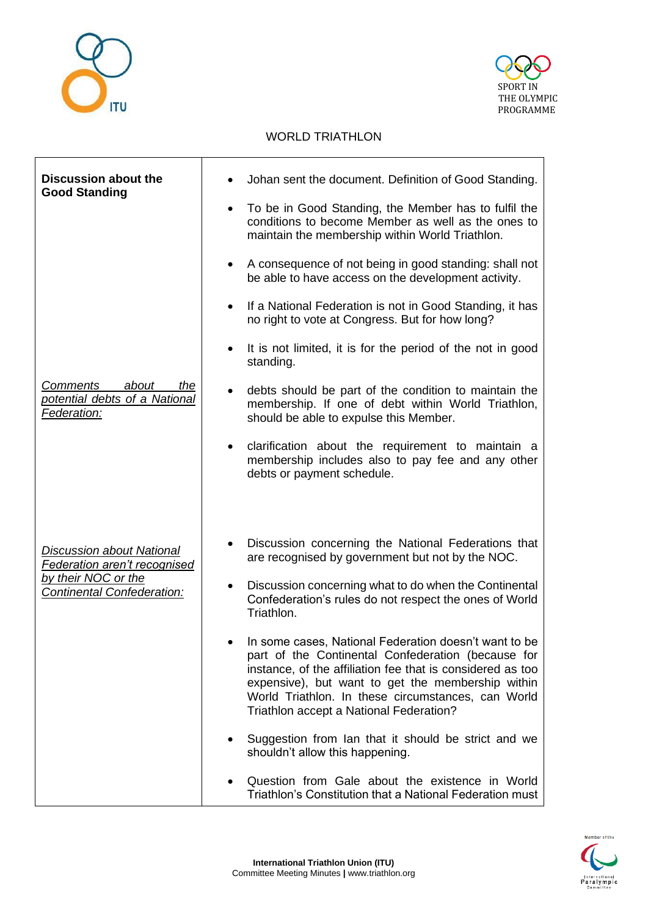



| <b>Discussion about the</b><br><b>Good Standing</b>                                                                          | Johan sent the document. Definition of Good Standing.<br>To be in Good Standing, the Member has to fulfil the<br>٠<br>conditions to become Member as well as the ones to<br>maintain the membership within World Triathlon.<br>A consequence of not being in good standing: shall not<br>$\bullet$<br>be able to have access on the development activity.<br>If a National Federation is not in Good Standing, it has<br>$\bullet$<br>no right to vote at Congress. But for how long?                                                                                                                                                                                                                                                                                                                               |
|------------------------------------------------------------------------------------------------------------------------------|---------------------------------------------------------------------------------------------------------------------------------------------------------------------------------------------------------------------------------------------------------------------------------------------------------------------------------------------------------------------------------------------------------------------------------------------------------------------------------------------------------------------------------------------------------------------------------------------------------------------------------------------------------------------------------------------------------------------------------------------------------------------------------------------------------------------|
| <b>Comments</b><br>about<br>the<br>potential debts of a National<br>Federation:                                              | It is not limited, it is for the period of the not in good<br>$\bullet$<br>standing.<br>debts should be part of the condition to maintain the<br>٠<br>membership. If one of debt within World Triathlon,<br>should be able to expulse this Member.<br>clarification about the requirement to maintain a<br>$\bullet$<br>membership includes also to pay fee and any other<br>debts or payment schedule.                                                                                                                                                                                                                                                                                                                                                                                                             |
| <b>Discussion about National</b><br>Federation aren't recognised<br>by their NOC or the<br><b>Continental Confederation:</b> | Discussion concerning the National Federations that<br>$\bullet$<br>are recognised by government but not by the NOC.<br>Discussion concerning what to do when the Continental<br>$\bullet$<br>Confederation's rules do not respect the ones of World<br>Triathlon.<br>In some cases, National Federation doesn't want to be<br>part of the Continental Confederation (because for<br>instance, of the affiliation fee that is considered as too<br>expensive), but want to get the membership within<br>World Triathlon. In these circumstances, can World<br>Triathlon accept a National Federation?<br>Suggestion from Ian that it should be strict and we<br>٠<br>shouldn't allow this happening.<br>Question from Gale about the existence in World<br>Triathlon's Constitution that a National Federation must |

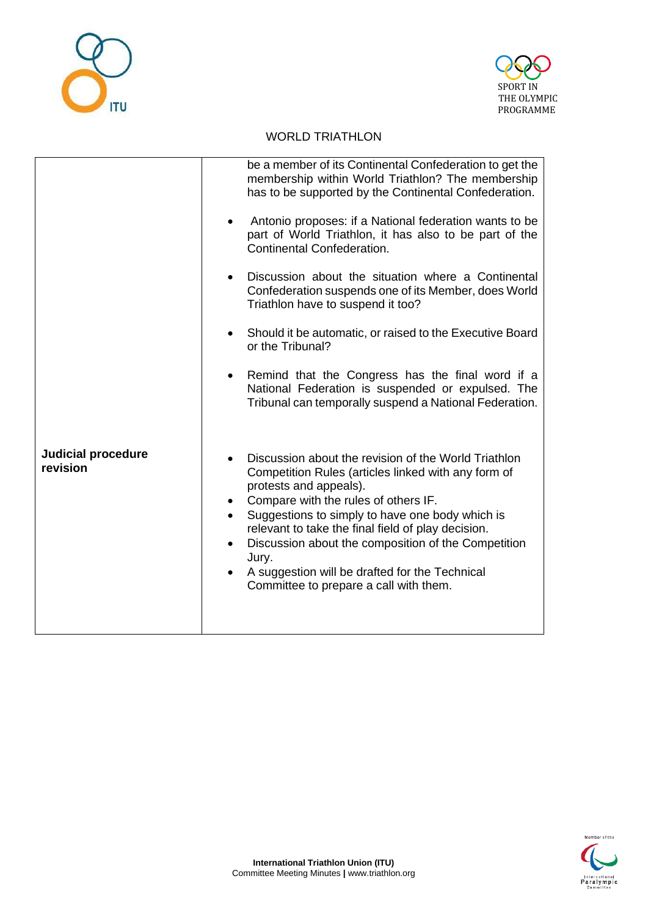



|                                       | be a member of its Continental Confederation to get the<br>membership within World Triathlon? The membership<br>has to be supported by the Continental Confederation.<br>Antonio proposes: if a National federation wants to be<br>part of World Triathlon, it has also to be part of the<br>Continental Confederation.                                                                                                                                                                                             |
|---------------------------------------|---------------------------------------------------------------------------------------------------------------------------------------------------------------------------------------------------------------------------------------------------------------------------------------------------------------------------------------------------------------------------------------------------------------------------------------------------------------------------------------------------------------------|
|                                       | Discussion about the situation where a Continental                                                                                                                                                                                                                                                                                                                                                                                                                                                                  |
|                                       | $\bullet$<br>Confederation suspends one of its Member, does World<br>Triathlon have to suspend it too?                                                                                                                                                                                                                                                                                                                                                                                                              |
|                                       | Should it be automatic, or raised to the Executive Board<br>$\bullet$<br>or the Tribunal?                                                                                                                                                                                                                                                                                                                                                                                                                           |
|                                       | Remind that the Congress has the final word if a<br>$\bullet$<br>National Federation is suspended or expulsed. The<br>Tribunal can temporally suspend a National Federation.                                                                                                                                                                                                                                                                                                                                        |
| <b>Judicial procedure</b><br>revision | Discussion about the revision of the World Triathlon<br>$\bullet$<br>Competition Rules (articles linked with any form of<br>protests and appeals).<br>Compare with the rules of others IF.<br>$\bullet$<br>Suggestions to simply to have one body which is<br>$\bullet$<br>relevant to take the final field of play decision.<br>Discussion about the composition of the Competition<br>$\bullet$<br>Jury.<br>A suggestion will be drafted for the Technical<br>$\bullet$<br>Committee to prepare a call with them. |